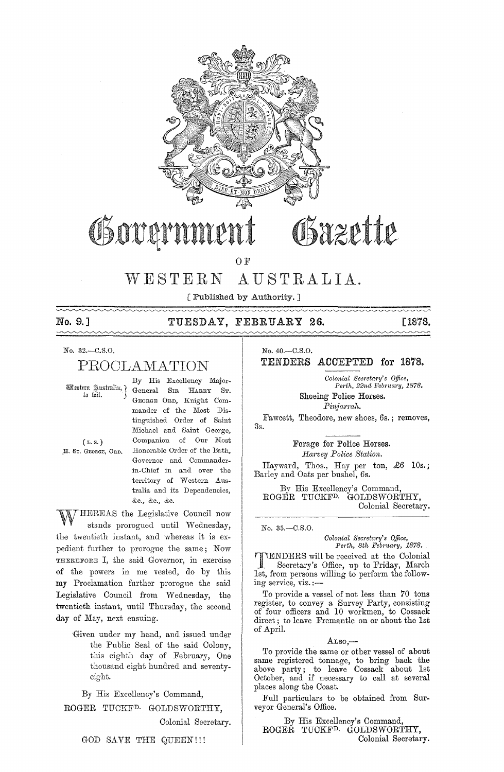

# Governmer

Bazette

O F

## WESTERN AUSTRALIA.

[Published by Authority. ]

## 

### No. 9.] TUESDAY, FEBRUARY 26. [1878.

No. 32.-C.S.0.

## PROCLA11ATION

By His Excellency Major-Wtstern gustralia, General SIR HARRY ST. GEORGE ORD, Knight Commander of the Most Distinguished Order of Saint Michael and Saint George, ( L. s. ) Companion of Our Most H. Sr. GEORGE, ORD. Honorable Order of the Bath, Governor and Commanderin-Chief in and over the territory of Western Australia and its Dependencies, &0., &0., &0.

HEREAS the Legislative Council now stands prorogued until Wednesday, the twentieth instant, and whereas it is expedient further to prorogue the same; Now THEREFORE I, the said Governor, in exercise of the powers in me vested, do by this my Proclamation further prorogue the said Legislative Council from Wednesday, the twentieth instant, until Thursday, the second day of May, next ensuing.

'Given uuder my hand, and issued under the Public Seal of the said Colony, this eighth day of February, One thousand eight hundred and seventyeight.

By His Excellency's Command,

ROGER TUCKFD. GOLDSWORTHY,

Colonial Secretary.

No. 40.-C.S.O. TENDERS ACCEPTED for 1878.

> *Colonial Secretary's Office,* Perth, 22nd February, 1878.

~~~~~~~~~

Shoeing Police Horses.

*Pinjarmh.* 

Fawcett, Theodore, new shoes, 6s.; removes, 3s.

Forage for Police Horses .

*Harvey Police Station.* 

Hayward, Thos., Hay per ton, £6 10s. ; Barley and Oats per bushel, 6s.

By His Excellency's Command, ROGER TUCKFD. GOLDSWORTIIY, Colonial Secretary.

No. 35.-C.S.O.

 $Colonial$  Secretary's Office, *Pe1·th, 8th February, 1878.* 

TENDERS will be received at the Colonial Secretary's Office, up to Friday, March 1st, from persons willing to perform the following service, viz. :-

To provide a vessel of not less than 70 tons register, to convey a Survey Party, consisting of four officers and 10 workmen, to Cossack direct; to leave Fremantle on or about the 1st of April.

#### $Also, -$

To provide the same or other vessel of about same registered tonnage, to bring back the above party; to leave Cossack about 1st October, and if necessary to call at several places along the Coast.

Full particulars to be obtained from Surveyor General's Office.

By His Excellency's Command, ROGER TUCKFD. GOLDSWORTHY, Colonial Secretary.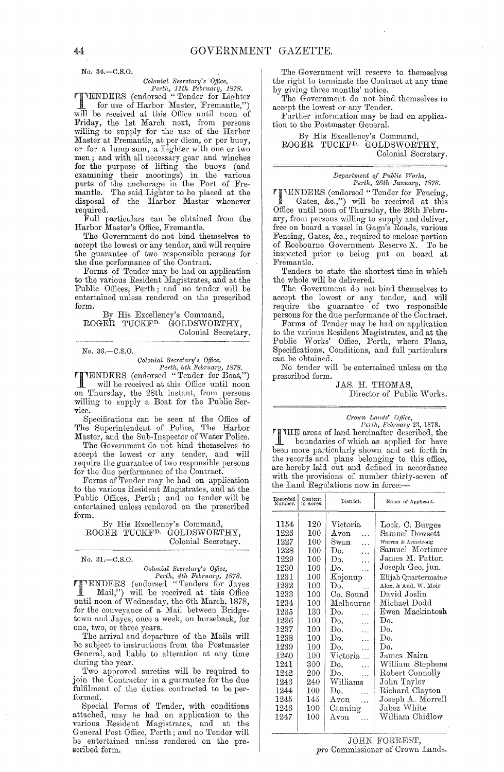No. 34.-C.S.O.

*Colonial Secretary's Office,*<br> *Perth, 11th February, 1878.*<br> **TENDERS** (endorsed "Tender for Lighter<br>
for use of Harbor Master, Fremantle,")<br>
Till be president at the discussion of the discussion of the discussion of the for use of Harbor Master, Fremantle,") will be received at this Oflice until noon of Friday, the 1st March next, from persons willing to supply for the use of the Harbor Master at Fremantle, at per diem, or per buoy, or for a lump sum, a Lighter with one or two men; and with all necessary gear and winches for the purpose of lifting the buoys (and examining their moorings) in the various parts of the anchorage in the Port of Fremantle. The said Lighter to be placed at the disposal of the Harbor Master whenever required.

Full particulars can be obtained from the Harbor Master's Office, Fremantle.

The Government do not bind themselves to accept the lowest or any tender, and will require the guarantee of two responsible persons for the due performance of the Contract.

Forms of Tender may be had on application to the various Resident Magistrates, and at the Public Offices, Perth; and no tender will be entertained unless rendered on the prescribed form.

By His Excellency's Command, ROGER TUCKF<sup>D.</sup> GOLDSWORTHY, Colonial Secretary.

No. 36.-C.S.O.

### *Colonial Sec)'eta)'Y's Office,*

*Perth, 6th February, 1878.*<br>
Will be received at this Office until noon<br>
will be received at this Office until noon on Thursday, the 28th instant, from persons willing to supply a Boat for the Public Service.

Specifications can be seen at the Office of The Superintendent of Police, The Harbor Master, and the Sub-Inspector of Water Police.

The Government do not bind themselves to accept the lowest or any tender, and will require the guamntee of two responsible persons for the due performance of the Contract.

Forms of Tender may be had on application to the various Resident Magistrates, and at the Public Offices, Perth; and no tender will be entertained unless rendered on the prescribed form.

By His Excellency's Command, ROGER TUCKFD. GOLDSWORTHY, Colonial Secretary.

No. 31.-C.S.O.

*Colonial Secretary's Office,*<br> *Perth, 4th February, 1878.*<br> **PENDERS** (endorsed "Tenders for Jayes<br>
Mail,") will be received at this Office<br>
with a come SW-classical at the solution Mail,") will be received at this Office until noon of Wednesday, the 6th March, 1878, for the conveyance of a Mail between Bridgetown and Jayes, once a week, on horseback, for one, two, or three years.

The arrival and departure of the Mails will be subject to instructions from the Postmaster General, and liable to alteration at any time during the year.

Two approved sureties will be required to join the Contractor in a guarantee for the due fulfilment of the duties contracted to be performed.

Special Forms of Tender, with conditions attached, may be had on application to the varions Resident Magistrates, and at the General Post Office, Perth; and no Tender will be entertained unless rendered on the prescribed form.

The Government will reserve to themselves the right to terminate the Contract at any time by giving three months' notice.

The Government do not bind themselves to accept the lowest or any Tender.

Further information may be had on application to the Postmaster GeneraL

By His Excellency's Command, ROGER TUCKFD. GOLDSWORTHY, Colonial Secretary.

*Depa)·tment of Pt!blic Works,* 

*Perth, 28th January, 1878.*<br> **TENDERS** (endorsed "Tender for Fencing, **TTENDERS** (endorsed "Tender for Fencing,<br>
Gates, &c.,") will be received at this<br>
Office until near of Thursday, the 92th Echm Office until noon of Thursday, the 28th Febrnary, from persons willing to supply and deliver, free on board a vessel in Gage's Roads, varions Fencing, Gates, &c., required to enclose portion of Roebourne Government Reserve X. To be inspected prior to being pnt on board at Fremantle.

Tenders to state the shortest time in which the whole will be delivered.

The Government do not bind themselves to accept the lowest or any tender, and will require the guamntee of two responsible persons for the due performance of the Contract.

Forms of Tender may be had on application to the various Resident Magistrates, and at the Public Works' Office, Perth, where Plans, Specifications, Conditions, and full particulars can be obtained.

No tender will be entertained unless on the prescribed form.

JAS. H. THOMAS, Director of Public Works.

*Crown Lands' Office, Perth, February* 23, 1878.

THE areas of land hereinafter described, the boundaries of which as applied for have been more particularly shown and set forth in the records and plans belonging to this office, are hereby laid out and defined in accordance with the provisions of number thirty-seven of the Land Regulations now in force:-

| Recorded<br>Number                                                                                                                                                               | Content<br>in Acres.                                                                                                                                   | District.                                                                                                                                                                                                                                                                                                                                                                                           | Name of Applicant.                                                                                                                                                                                                                                                                                                                                                          |
|----------------------------------------------------------------------------------------------------------------------------------------------------------------------------------|--------------------------------------------------------------------------------------------------------------------------------------------------------|-----------------------------------------------------------------------------------------------------------------------------------------------------------------------------------------------------------------------------------------------------------------------------------------------------------------------------------------------------------------------------------------------------|-----------------------------------------------------------------------------------------------------------------------------------------------------------------------------------------------------------------------------------------------------------------------------------------------------------------------------------------------------------------------------|
| 1154<br>1226<br>1227<br>1228<br>1229<br>1230<br>1231<br>1232<br>1233<br>1234<br>1235<br>$1236\,$<br>1237<br>1238<br>1239<br>1240<br>1241<br>1242<br>1243<br>1244<br>1245<br>1246 | 120<br>100<br>100<br>100<br>100<br>100<br>100<br>100<br>100<br>100<br>130<br>100<br>100<br>100<br>100<br>100<br>300<br>200<br>240<br>100<br>145<br>100 | Victoria<br>$_{\rm Avon}$<br>Swan<br>$\ddotsc$<br>Do.<br>$\ddotsc$<br>Do.<br>.<br>Do.<br>.<br>Kojonup<br>Do.<br>Co. Sound<br>Melbourne<br>Do.<br>$\mathbf{r}$<br>Do.<br>$\ddotsc$<br>Do.<br>$\ddotsc$<br>$\operatorname{Do}$ .<br>$\ddotsc$<br>Do.<br>$\ddotsc$<br>Victoria<br>Do.<br>$\sim$ .<br>Do.<br>$\ddotsc$<br>$\operatorname{Williams}$<br>Do.<br>$\ddotsc$<br>Avon<br>$\ddotsc$<br>Canning | Lock. C. Burges<br>Samuel Dowsett<br>Warren & Armstrong<br>Samuel Mortimer<br>James M. Patton<br>Joseph Gee, jun.<br>Elijah Quartermaine<br>Alex. & And. W. Moir<br>David Joslin<br>Michael Dodd<br>Ewen Mackintosh<br>Do.<br>Do.<br>Do.<br>Do.<br>James Nairn<br>William Stephens<br>Robert Connolly<br>John Taylor<br>Richard Clayton<br>Joseph A. Morrell<br>Jabez White |
| 1247                                                                                                                                                                             | 100                                                                                                                                                    | Avon                                                                                                                                                                                                                                                                                                                                                                                                | William Chidlow                                                                                                                                                                                                                                                                                                                                                             |
|                                                                                                                                                                                  |                                                                                                                                                        |                                                                                                                                                                                                                                                                                                                                                                                                     |                                                                                                                                                                                                                                                                                                                                                                             |

JOHN FORREST, *pro* Commissioner of Crown Lands.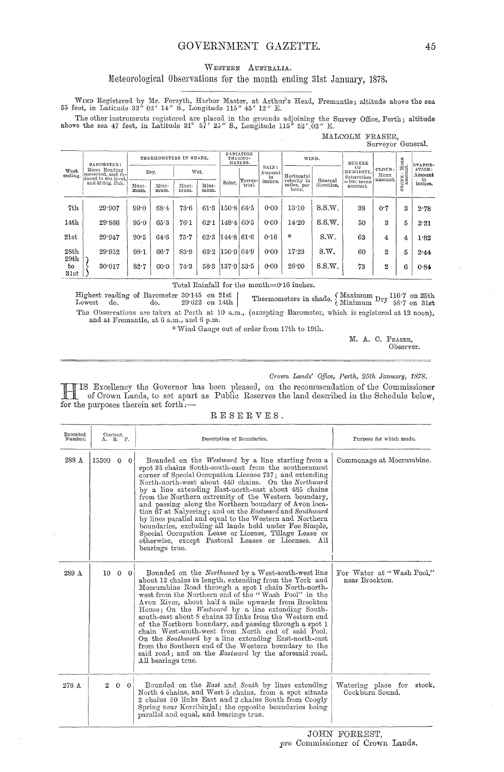#### GOVERNMENT GAZETTE.

#### WESTERN AUSTRALIA.

#### Meteorological Observations for the month ending 31st January, 1878.

WIND Registered by Mr. Forsyth, Harbor Master, at Arthur's Head, Fremantle; altitude above the sea 55 feet, in Latitude 32° 02' 14" S., Longitude 115° 45' 12" E.

The other instruments registered are placed in the grounds adjoining the Survey Office, Perth; altitude above the sea 47 feet, in Latitude 31° 57' 25" S., Longitude 115° 52' 02" E.

|                 |                                                           |                        |               |               |                                        |            |                       |                       |                                    |                           |                          | Surveyor General.       |                        |         |
|-----------------|-----------------------------------------------------------|------------------------|---------------|---------------|----------------------------------------|------------|-----------------------|-----------------------|------------------------------------|---------------------------|--------------------------|-------------------------|------------------------|---------|
| Week<br>ending. | BAROMETER:                                                | THERMOMETERS IN SHADE. |               |               | <b>RADIATION</b><br>THERMO-<br>METERS. |            | WIND.                 |                       | DEGREE                             |                           | $\lim_{\Delta E}$        | EVAPOR-                 |                        |         |
|                 | Mean Reading<br>corrected, and re-<br>duced to sea level. |                        | Dry.          |               | Wet.                                   | (Terres-)  | RAIN:<br>Amount<br>in | Horizontal<br>General | ОF<br>HUMIDITY,<br>Saturation      | CLOUD:<br>Mean<br>amount. | … ದ                      | ATION:<br>Amount<br>in. |                        |         |
|                 | and 32 deg. Fah.                                          | Maxi-<br>mum.          | Mini-<br>mum. | Maxi-<br>mum. | Mini-<br>mum.                          | Solar.     | trial.                | inches.               | velocity in<br>miles, per<br>hour. | direction.                | $=$ 100: mean<br>amount. |                         | E3KOZ<br>S<br>$\sigma$ | inches. |
| 7th             | 29.907                                                    | 99.0                   | 68.4          | 73.6          | 61.3                                   | 150.8      | 64.5                  | 0.00                  | 13:10                              | S.S.W.                    | 38                       | 0.7                     | 3                      | 2.78    |
| 14th            | 29.866                                                    | 95.0                   | 65.3          | 76.1          | 62.1                                   | $148 - 4$  | 60.5                  | 0.00                  | 14.20                              | S.S.W.                    | 50                       | $\mathbf{R}$            | 5                      | 2.21    |
| 21st            | 29.947                                                    | $90-5$                 | 64.6          | 75.7          | 62.3                                   | 144.8      | 61.6                  | 0.16                  | 墉                                  | S.W.                      | 63                       | 4                       | 4                      | 1.82    |
| 28th<br>29th    | 29.952                                                    | 98.1                   | 66.7          | 83.9          | 63.2                                   | 150.9      | 64.9                  | 0.00                  | 17.23                              | S.W.                      | 60                       | 2                       | 5                      | 2.44    |
| tо<br>31st      | 30:017                                                    | $82 - 7$               | 60.0          | 743           | 58.3                                   | 137.9 53.5 |                       | 0.00                  | 26.90                              | S.S.W.                    | 73                       | 2                       | 6                      | 0.84    |

Total Rainfall for the month=0.16 inches.

 $\begin{tabular}{lcccccc} Higher reading of Barometer & 30:145 & on & 21st \\ Lowest & do. & do. & 29:622 & on & 14th \\ \end{tabular}$ Thermometers in shade. (Maximum Dry  $^{116.7}_{58.7}$  on 25th The Observations are taken at Perth at 10 a.m., (excepting Barometer, which is registered at 12 noon), and at Fremantle, at 6 a.m., and 6 p.m.

\* Wind Gauge out of order from 17th to 19th.

M. A. C. FRASER, Observer.

#### Crown Lands' Office, Perth, 25th January, 1878.

MALCOLM FRASER,

TIS Excellency the Governor has been pleased, on the recommendation of the Commissioner<br>of Crown Lands, to set apart as Public Reserves the land described in the Schedule below, for the purposes therein set forth :-

| $\tt R E S E R V E S$ . |  |  |  |  |
|-------------------------|--|--|--|--|
|                         |  |  |  |  |

| Recorded<br>Number. | A. R. P.          | Content.       | Description of Boundaries.                                                                                                                                                                                                                                                                                                                                                                                                                                                                                                                                                                                                                                                                                                      | Purpose for which made.                      |
|---------------------|-------------------|----------------|---------------------------------------------------------------------------------------------------------------------------------------------------------------------------------------------------------------------------------------------------------------------------------------------------------------------------------------------------------------------------------------------------------------------------------------------------------------------------------------------------------------------------------------------------------------------------------------------------------------------------------------------------------------------------------------------------------------------------------|----------------------------------------------|
| 288 A               | $15300 \t 0 \t 0$ |                | Bounded on the Westward by a line starting from a<br>spot 35 chains South-south-east from the southernmost<br>corner of Special Occupation License 737; and extending<br>North-north-west about 440 chains. On the Northward<br>by a line extending East-north-east about 485 chains<br>from the Northern extremity of the Western boundary,<br>and passing along the Northern boundary of Avon loca-<br>tion 67 at Nalyering; and on the Eastward and Southward<br>by lines parallel and equal to the Western and Northern<br>boundaries, excluding all lands held under Fee Simple,<br>Special Occupation Lease or License, Tillage Lease or<br>otherwise, except Pastoral Leases or Licenses. All<br>bearings true.          | Commonage at Moorumbine.                     |
| 289 A               |                   | $10 \t 0 \t 0$ | Bounded on the Northward by a West-south-west line<br>about 12 chains in length, extending from the York and<br>Moorumbine Road through a spot I chain North-north-<br>west from the Northern end of the "Wash Pool" in the<br>Avon River, about half a mile upwards from Brookton<br>House; On the <i>Westward</i> by a line extending South-<br>south-east about 8 chains 33 links from the Western end<br>of the Northern boundary, and passing through a spot 1<br>chain West-south-west from North end of said Pool.<br>On the Southward by a line extending East-north-east<br>from the Southern end of the Western boundary to the<br>said road; and on the <i>Eastward</i> by the aforesaid road.<br>All bearings true. | For Water at "Wash Pool,"<br>near Brookton.  |
| 278 A               | $\mathbf{2}$      | $0 \quad 0$    | Bounded on the East and South by lines extending<br>North 4 chains, and West 5 chains, from a spot situate<br>2 chains 50 links East and 2 chains South from Coogly<br>Spring near Korribinjal; the opposite boundaries being<br>parallel and equal, and bearings true.                                                                                                                                                                                                                                                                                                                                                                                                                                                         | Watering place for stock,<br>Cockburn Sound. |